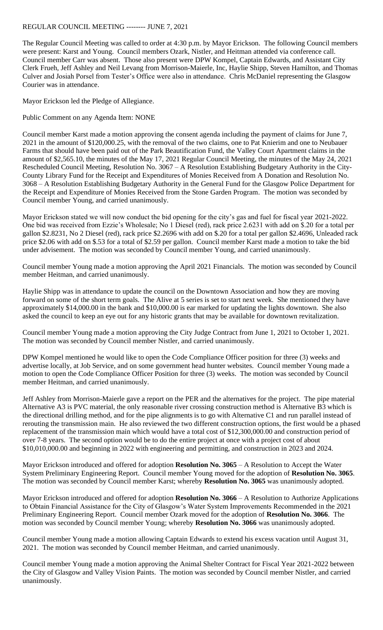## REGULAR COUNCIL MEETING -------- JUNE 7, 2021

The Regular Council Meeting was called to order at 4:30 p.m. by Mayor Erickson. The following Council members were present: Karst and Young. Council members Ozark, Nistler, and Heitman attended via conference call. Council member Carr was absent. Those also present were DPW Kompel, Captain Edwards, and Assistant City Clerk Frueh, Jeff Ashley and Neil Levang from Morrison-Maierle, Inc, Haylie Shipp, Steven Hamilton, and Thomas Culver and Josiah Porsel from Tester's Office were also in attendance. Chris McDaniel representing the Glasgow Courier was in attendance.

Mayor Erickson led the Pledge of Allegiance.

Public Comment on any Agenda Item: NONE

Council member Karst made a motion approving the consent agenda including the payment of claims for June 7, 2021 in the amount of \$120,000.25, with the removal of the two claims, one to Pat Knierim and one to Neubauer Farms that should have been paid out of the Park Beautification Fund, the Valley Court Apartment claims in the amount of \$2,565.10, the minutes of the May 17, 2021 Regular Council Meeting, the minutes of the May 24, 2021 Rescheduled Council Meeting, Resolution No. 3067 – A Resolution Establishing Budgetary Authority in the City-County Library Fund for the Receipt and Expenditures of Monies Received from A Donation and Resolution No. 3068 – A Resolution Establishing Budgetary Authority in the General Fund for the Glasgow Police Department for the Receipt and Expenditure of Monies Received from the Stone Garden Program. The motion was seconded by Council member Young, and carried unanimously.

Mayor Erickson stated we will now conduct the bid opening for the city's gas and fuel for fiscal year 2021-2022. One bid was received from Ezzie's Wholesale; No 1 Diesel (red), rack price 2.6231 with add on \$.20 for a total per gallon \$2.8231, No 2 Diesel (red), rack price \$2.2696 with add on \$.20 for a total per gallon \$2.4696, Unleaded rack price \$2.06 with add on \$.53 for a total of \$2.59 per gallon. Council member Karst made a motion to take the bid under advisement. The motion was seconded by Council member Young, and carried unanimously.

Council member Young made a motion approving the April 2021 Financials. The motion was seconded by Council member Heitman, and carried unanimously.

Haylie Shipp was in attendance to update the council on the Downtown Association and how they are moving forward on some of the short term goals. The Alive at 5 series is set to start next week. She mentioned they have approximately \$14,000.00 in the bank and \$10,000.00 is ear marked for updating the lights downtown. She also asked the council to keep an eye out for any historic grants that may be available for downtown revitalization.

Council member Young made a motion approving the City Judge Contract from June 1, 2021 to October 1, 2021. The motion was seconded by Council member Nistler, and carried unanimously.

DPW Kompel mentioned he would like to open the Code Compliance Officer position for three (3) weeks and advertise locally, at Job Service, and on some government head hunter websites. Council member Young made a motion to open the Code Compliance Officer Position for three (3) weeks. The motion was seconded by Council member Heitman, and carried unanimously.

Jeff Ashley from Morrison-Maierle gave a report on the PER and the alternatives for the project. The pipe material Alternative A3 is PVC material, the only reasonable river crossing construction method is Alternative B3 which is the directional drilling method, and for the pipe alignments is to go with Alternative C1 and run parallel instead of rerouting the transmission main. He also reviewed the two different construction options, the first would be a phased replacement of the transmission main which would have a total cost of \$12,300,000.00 and construction period of over 7-8 years. The second option would be to do the entire project at once with a project cost of about \$10,010,000.00 and beginning in 2022 with engineering and permitting, and construction in 2023 and 2024.

Mayor Erickson introduced and offered for adoption **Resolution No. 3065** – A Resolution to Accept the Water System Preliminary Engineering Report. Council member Young moved for the adoption of **Resolution No. 3065**. The motion was seconded by Council member Karst; whereby **Resolution No. 3065** was unanimously adopted.

Mayor Erickson introduced and offered for adoption **Resolution No. 3066** – A Resolution to Authorize Applications to Obtain Financial Assistance for the City of Glasgow's Water System Improvements Recommended in the 2021 Preliminary Engineering Report. Council member Ozark moved for the adoption of **Resolution No. 3066**. The motion was seconded by Council member Young; whereby **Resolution No. 3066** was unanimously adopted.

Council member Young made a motion allowing Captain Edwards to extend his excess vacation until August 31, 2021. The motion was seconded by Council member Heitman, and carried unanimously.

Council member Young made a motion approving the Animal Shelter Contract for Fiscal Year 2021-2022 between the City of Glasgow and Valley Vision Paints. The motion was seconded by Council member Nistler, and carried unanimously.